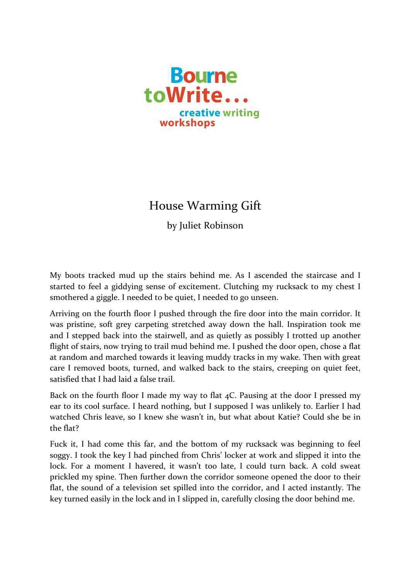

## House Warming Gift

by Juliet Robinson

My boots tracked mud up the stairs behind me. As I ascended the staircase and I started to feel a giddying sense of excitement. Clutching my rucksack to my chest I smothered a giggle. I needed to be quiet. I needed to go unseen.

Arriving on the fourth floor I pushed through the fire door into the main corridor. It was pristine, soft grey carpeting stretched away down the hall. Inspiration took me and I stepped back into the stairwell, and as quietly as possibly I trotted up another flight of stairs, now trying to trail mud behind me. I pushed the door open, chose a flat at random and marched towards it leaving muddy tracks in my wake. Then with great care I removed boots, turned, and walked back to the stairs, creeping on quiet feet, satisfied that I had laid a false trail.

Back on the fourth floor I made my way to flat  $4C$ . Pausing at the door I pressed my ear to its cool surface. I heard nothing, but I supposed I was unlikely to. Earlier I had watched Chris leave, so I knew she wasn't in, but what about Katie? Could she be in the flat?

Fuck it, I had come this far, and the bottom of my rucksack was beginning to feel soggy. I took the key I had pinched from Chris' locker at work and slipped it into the lock. For a moment I havered, it wasn't too late, I could turn back. A cold sweat prickled my spine. Then further down the corridor someone opened the door to their flat, the sound of a television set spilled into the corridor, and I acted instantly. The key turned easily in the lock and in I slipped in, carefully closing the door behind me.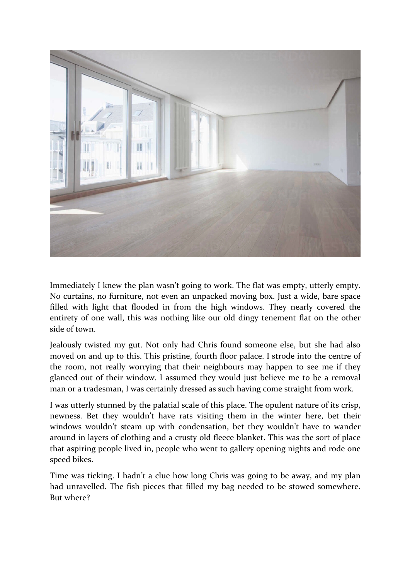

Immediately I knew the plan wasn't going to work. The flat was empty, utterly empty. No curtains, no furniture, not even an unpacked moving box. Just a wide, bare space filled with light that flooded in from the high windows. They nearly covered the entirety of one wall, this was nothing like our old dingy tenement flat on the other side of town

Jealously twisted my gut. Not only had Chris found someone else, but she had also moved on and up to this. This pristine, fourth floor palace. I strode into the centre of the room, not really worrying that their neighbours may happen to see me if they glanced out of their window. I assumed they would just believe me to be a removal man or a tradesman, I was certainly dressed as such having come straight from work.

I was utterly stunned by the palatial scale of this place. The opulent nature of its crisp, newness. Bet they wouldn't have rats visiting them in the winter here, bet their windows wouldn't steam up with condensation, bet they wouldn't have to wander around in layers of clothing and a crusty old fleece blanket. This was the sort of place that aspiring people lived in, people who went to gallery opening nights and rode one speed bikes.

Time was ticking. I hadn't a clue how long Chris was going to be away, and my plan had unravelled. The fish pieces that filled my bag needed to be stowed somewhere. But where?